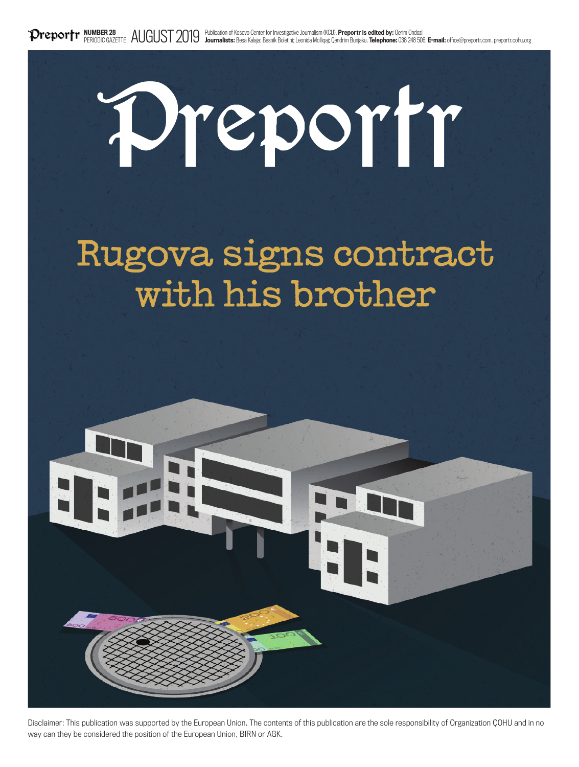# Preportr

# Rugova signs contract with his brother



Disclaimer: This publication was supported by the European Union. The contents of this publication are the sole responsibility of Organization ÇOHU and in no way can they be considered the position of the European Union, BIRN or AGK.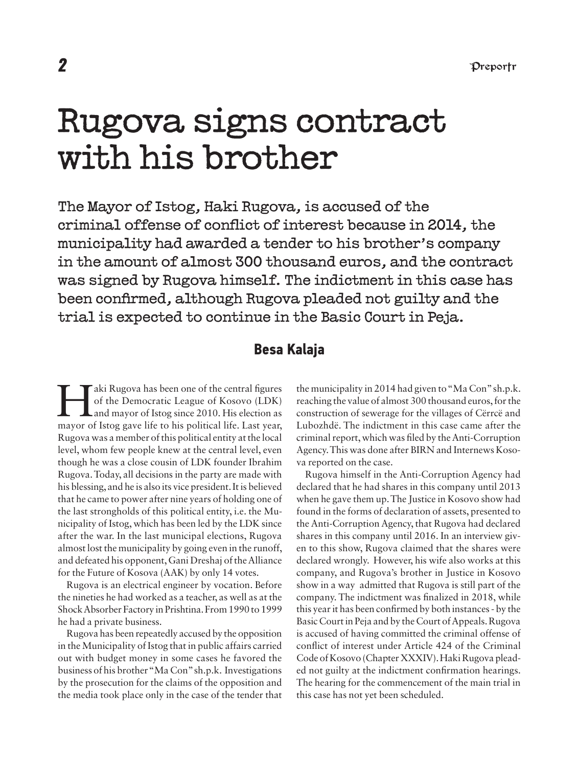# Rugova signs contract with his brother

The Mayor of Istog, Haki Rugova, is accused of the criminal offense of conflict of interest because in 2014, the municipality had awarded a tender to his brother's company in the amount of almost 300 thousand euros, and the contract was signed by Rugova himself. The indictment in this case has been confirmed, although Rugova pleaded not guilty and the trial is expected to continue in the Basic Court in Peja.

#### **Besa Kalaja**

Aki Rugova has been one of the central figures<br>of the Democratic League of Kosovo (LDK)<br>and mayor of Istog since 2010. His election as of the Democratic League of Kosovo (LDK) and mayor of Istog since 2010. His election as mayor of Istog gave life to his political life. Last year, Rugova was a member of this political entity at the local level, whom few people knew at the central level, even though he was a close cousin of LDK founder Ibrahim Rugova. Today, all decisions in the party are made with his blessing, and he is also its vice president. It is believed that he came to power after nine years of holding one of the last strongholds of this political entity, i.e. the Municipality of Istog, which has been led by the LDK since after the war. In the last municipal elections, Rugova almost lost the municipality by going even in the runoff, and defeated his opponent, Gani Dreshaj of the Alliance for the Future of Kosova (AAK) by only 14 votes.

Rugova is an electrical engineer by vocation. Before the nineties he had worked as a teacher, as well as at the Shock Absorber Factory in Prishtina. From 1990 to 1999 he had a private business.

Rugova has been repeatedly accused by the opposition in the Municipality of Istog that in public affairs carried out with budget money in some cases he favored the business of his brother "Ma Con" sh.p.k. Investigations by the prosecution for the claims of the opposition and the media took place only in the case of the tender that

the municipality in 2014 had given to "Ma Con" sh.p.k. reaching the value of almost 300 thousand euros, for the construction of sewerage for the villages of Cërrcë and Lubozhdë. The indictment in this case came after the criminal report, which was filed by the Anti-Corruption Agency. This was done after BIRN and Internews Kosova reported on the case.

Rugova himself in the Anti-Corruption Agency had declared that he had shares in this company until 2013 when he gave them up. The Justice in Kosovo show had found in the forms of declaration of assets, presented to the Anti-Corruption Agency, that Rugova had declared shares in this company until 2016. In an interview given to this show, Rugova claimed that the shares were declared wrongly. However, his wife also works at this company, and Rugova's brother in Justice in Kosovo show in a way admitted that Rugova is still part of the company. The indictment was finalized in 2018, while this year it has been confirmed by both instances - by the Basic Court in Peja and by the Court of Appeals. Rugova is accused of having committed the criminal offense of conflict of interest under Article 424 of the Criminal Code of Kosovo (Chapter XXXIV). Haki Rugova pleaded not guilty at the indictment confirmation hearings. The hearing for the commencement of the main trial in this case has not yet been scheduled.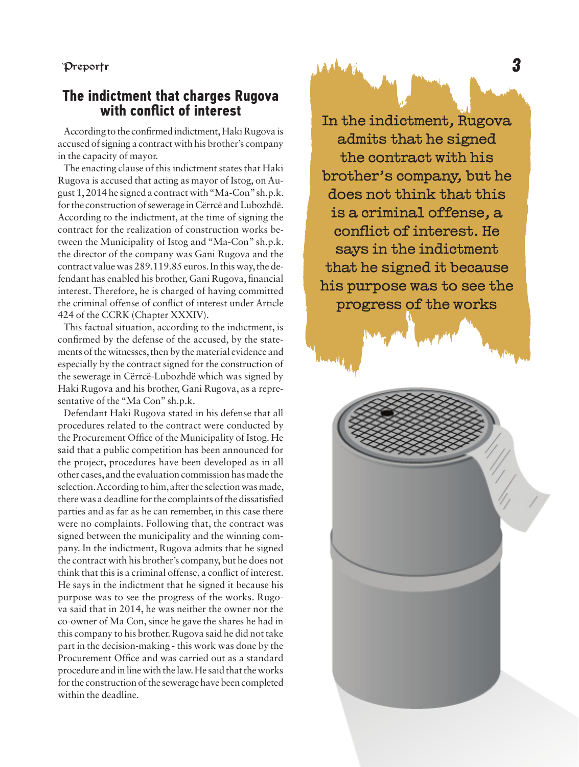#### Preportr

## **The indictment that charges Rugova with conflict of interest**

According to the confirmed indictment, Haki Rugova is accused of signing a contract with his brother's company in the capacity of mayor.

The enacting clause of this indictment states that Haki Rugova is accused that acting as mayor of Istog, on August 1, 2014 he signed a contract with "Ma-Con" sh.p.k. for the construction of sewerage in Cërrcë and Lubozhdë. According to the indictment, at the time of signing the contract for the realization of construction works between the Municipality of Istog and "Ma-Con" sh.p.k. the director of the company was Gani Rugova and the contract value was 289.119.85 euros. In this way, the defendant has enabled his brother, Gani Rugova, financial interest. Therefore, he is charged of having committed the criminal offense of conflict of interest under Article 424 of the CCRK (Chapter XXXIV).

This factual situation, according to the indictment, is confirmed by the defense of the accused, by the statements of the witnesses, then by the material evidence and especially by the contract signed for the construction of the sewerage in Cërrcë-Lubozhdë which was signed by Haki Rugova and his brother, Gani Rugova, as a representative of the "Ma Con" sh.p.k.

Defendant Haki Rugova stated in his defense that all procedures related to the contract were conducted by the Procurement Office of the Municipality of Istog. He said that a public competition has been announced for the project, procedures have been developed as in all other cases, and the evaluation commission has made the selection. According to him, after the selection was made, there was a deadline for the complaints of the dissatisfied parties and as far as he can remember, in this case there were no complaints. Following that, the contract was signed between the municipality and the winning company. In the indictment, Rugova admits that he signed the contract with his brother's company, but he does not think that this is a criminal offense, a conflict of interest. He says in the indictment that he signed it because his purpose was to see the progress of the works. Rugova said that in 2014, he was neither the owner nor the co-owner of Ma Con, since he gave the shares he had in this company to his brother. Rugova said he did not take part in the decision-making - this work was done by the Procurement Office and was carried out as a standard procedure and in line with the law. He said that the works for the construction of the sewerage have been completed within the deadline.

In the indictment, Rugova admits that he signed the contract with his brother's company, but he does not think that this is a criminal offense, a conflict of interest. He says in the indictment that he signed it because his purpose was to see the progress of the works

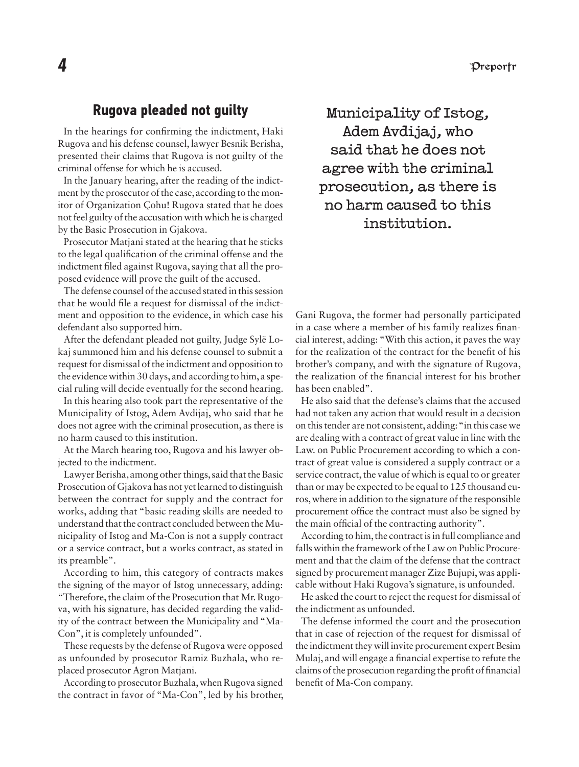#### **Rugova pleaded not guilty**

In the hearings for confirming the indictment, Haki Rugova and his defense counsel, lawyer Besnik Berisha, presented their claims that Rugova is not guilty of the criminal offense for which he is accused.

In the January hearing, after the reading of the indictment by the prosecutor of the case, according to the monitor of Organization Çohu! Rugova stated that he does not feel guilty of the accusation with which he is charged by the Basic Prosecution in Gjakova.

Prosecutor Matjani stated at the hearing that he sticks to the legal qualification of the criminal offense and the indictment filed against Rugova, saying that all the proposed evidence will prove the guilt of the accused.

The defense counsel of the accused stated in this session that he would file a request for dismissal of the indictment and opposition to the evidence, in which case his defendant also supported him.

After the defendant pleaded not guilty, Judge Sylë Lokaj summoned him and his defense counsel to submit a request for dismissal of the indictment and opposition to the evidence within 30 days, and according to him, a special ruling will decide eventually for the second hearing.

In this hearing also took part the representative of the Municipality of Istog, Adem Avdijaj, who said that he does not agree with the criminal prosecution, as there is no harm caused to this institution.

At the March hearing too, Rugova and his lawyer objected to the indictment.

Lawyer Berisha, among other things, said that the Basic Prosecution of Gjakova has not yet learned to distinguish between the contract for supply and the contract for works, adding that "basic reading skills are needed to understand that the contract concluded between the Municipality of Istog and Ma-Con is not a supply contract or a service contract, but a works contract, as stated in its preamble".

According to him, this category of contracts makes the signing of the mayor of Istog unnecessary, adding: "Therefore, the claim of the Prosecution that Mr. Rugova, with his signature, has decided regarding the validity of the contract between the Municipality and "Ma-Con", it is completely unfounded".

These requests by the defense of Rugova were opposed as unfounded by prosecutor Ramiz Buzhala, who replaced prosecutor Agron Matjani.

According to prosecutor Buzhala, when Rugova signed the contract in favor of "Ma-Con", led by his brother,

Municipality of Istog, Adem Avdijaj, who said that he does not agree with the criminal prosecution, as there is no harm caused to this institution.

Gani Rugova, the former had personally participated in a case where a member of his family realizes financial interest, adding: "With this action, it paves the way for the realization of the contract for the benefit of his brother's company, and with the signature of Rugova, the realization of the financial interest for his brother has been enabled".

He also said that the defense's claims that the accused had not taken any action that would result in a decision on this tender are not consistent, adding: "in this case we are dealing with a contract of great value in line with the Law. on Public Procurement according to which a contract of great value is considered a supply contract or a service contract, the value of which is equal to or greater than or may be expected to be equal to 125 thousand euros, where in addition to the signature of the responsible procurement office the contract must also be signed by the main official of the contracting authority".

According to him, the contract is in full compliance and falls within the framework of the Law on Public Procurement and that the claim of the defense that the contract signed by procurement manager Zize Bujupi, was applicable without Haki Rugova's signature, is unfounded.

He asked the court to reject the request for dismissal of the indictment as unfounded.

The defense informed the court and the prosecution that in case of rejection of the request for dismissal of the indictment they will invite procurement expert Besim Mulaj, and will engage a financial expertise to refute the claims of the prosecution regarding the profit of financial benefit of Ma-Con company.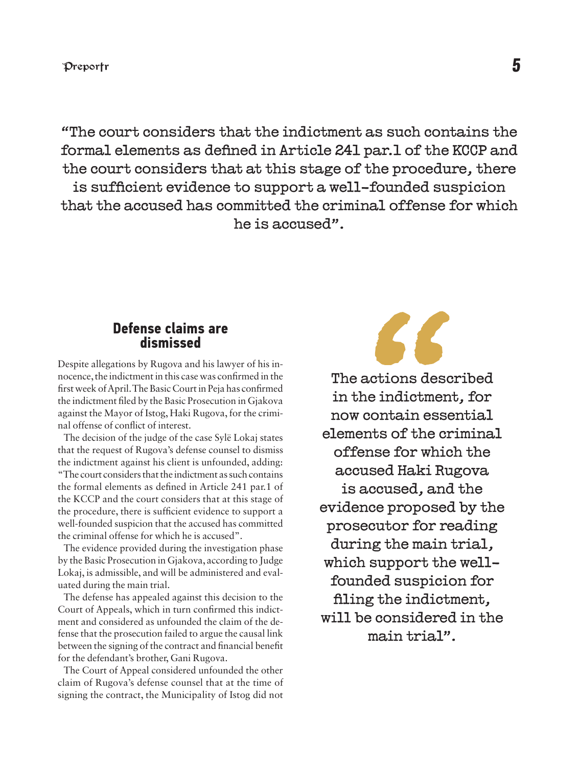"The court considers that the indictment as such contains the formal elements as defined in Article 241 par.1 of the KCCP and the court considers that at this stage of the procedure, there is sufficient evidence to support a well-founded suspicion that the accused has committed the criminal offense for which he is accused".

#### **Defense claims are dismissed**

Despite allegations by Rugova and his lawyer of his innocence, the indictment in this case was confirmed in the first week of April. The Basic Court in Peja has confirmed the indictment filed by the Basic Prosecution in Gjakova against the Mayor of Istog, Haki Rugova, for the criminal offense of conflict of interest.

The decision of the judge of the case Sylë Lokaj states that the request of Rugova's defense counsel to dismiss the indictment against his client is unfounded, adding: "The court considers that the indictment as such contains the formal elements as defined in Article 241 par.1 of the KCCP and the court considers that at this stage of the procedure, there is sufficient evidence to support a well-founded suspicion that the accused has committed the criminal offense for which he is accused".

The evidence provided during the investigation phase by the Basic Prosecution in Gjakova, according to Judge Lokaj, is admissible, and will be administered and evaluated during the main trial.

The defense has appealed against this decision to the Court of Appeals, which in turn confirmed this indictment and considered as unfounded the claim of the defense that the prosecution failed to argue the causal link between the signing of the contract and financial benefit for the defendant's brother, Gani Rugova.

The Court of Appeal considered unfounded the other claim of Rugova's defense counsel that at the time of signing the contract, the Municipality of Istog did not



The actions described in the indictment, for now contain essential elements of the criminal offense for which the accused Haki Rugova is accused, and the evidence proposed by the prosecutor for reading during the main trial, which support the wellfounded suspicion for filing the indictment. will be considered in the main trial".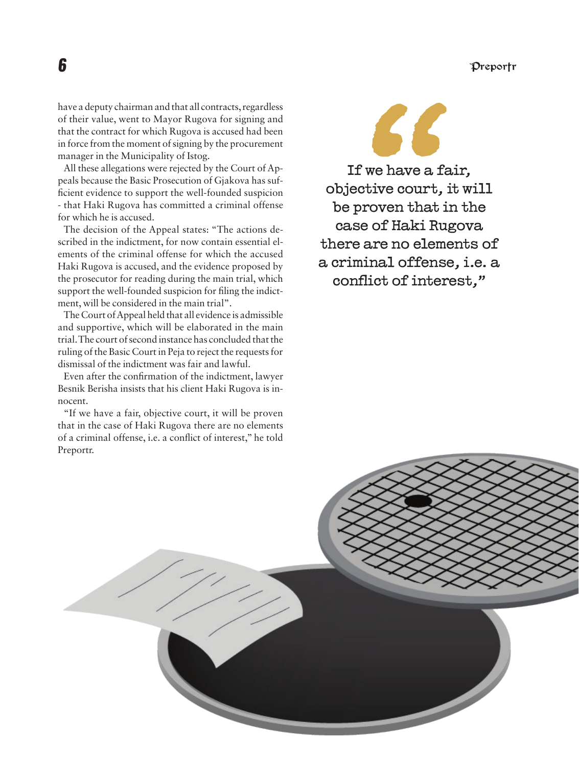Preportr

have a deputy chairman and that all contracts, regardless of their value, went to Mayor Rugova for signing and that the contract for which Rugova is accused had been in force from the moment of signing by the procurement manager in the Municipality of Istog.

All these allegations were rejected by the Court of Appeals because the Basic Prosecution of Gjakova has sufficient evidence to support the well-founded suspicion - that Haki Rugova has committed a criminal offense for which he is accused.

The decision of the Appeal states: "The actions described in the indictment, for now contain essential elements of the criminal offense for which the accused Haki Rugova is accused, and the evidence proposed by the prosecutor for reading during the main trial, which support the well-founded suspicion for filing the indictment, will be considered in the main trial".

The Court of Appeal held that all evidence is admissible and supportive, which will be elaborated in the main trial. The court of second instance has concluded that the ruling of the Basic Court in Peja to reject the requests for dismissal of the indictment was fair and lawful.

Even after the confirmation of the indictment, lawyer Besnik Berisha insists that his client Haki Rugova is innocent.

"If we have a fair, objective court, it will be proven that in the case of Haki Rugova there are no elements of a criminal offense, i.e. a conflict of interest," he told Preportr.

# 56

If we have a fair, objective court, it will be proven that in the case of Haki Rugova there are no elements of a criminal offense, i.e. a conflict of interest,"

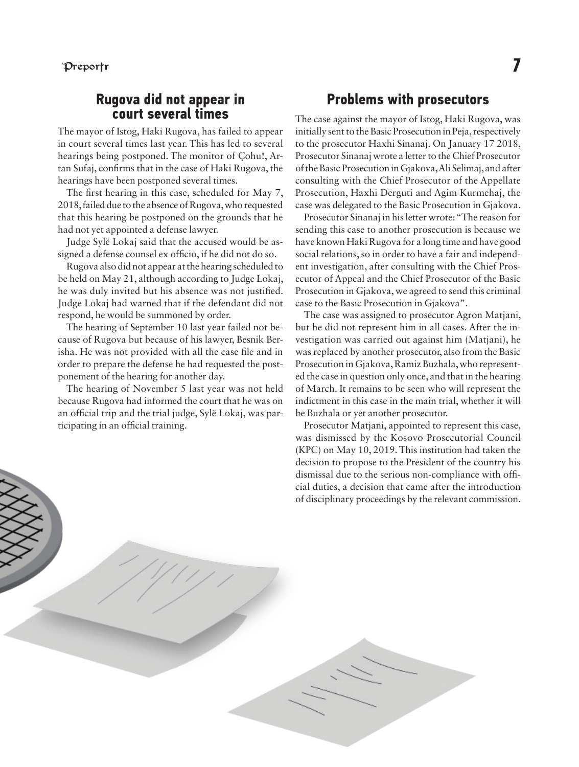#### **Rugova did not appear in court several times**

The mayor of Istog, Haki Rugova, has failed to appear in court several times last year. This has led to several hearings being postponed. The monitor of Cohu!, Artan Sufaj, confirms that in the case of Haki Rugova, the hearings have been postponed several times.

The first hearing in this case, scheduled for May 7, 2018, failed due to the absence of Rugova, who requested that this hearing be postponed on the grounds that he had not yet appointed a defense lawyer.

Judge Sylë Lokaj said that the accused would be assigned a defense counsel ex officio, if he did not do so.

Rugova also did not appear at the hearing scheduled to be held on May 21, although according to Judge Lokaj, he was duly invited but his absence was not justified. Judge Lokaj had warned that if the defendant did not respond, he would be summoned by order.

The hearing of September 10 last year failed not because of Rugova but because of his lawyer, Besnik Berisha. He was not provided with all the case file and in order to prepare the defense he had requested the postponement of the hearing for another day.

The hearing of November 5 last year was not held because Rugova had informed the court that he was on an official trip and the trial judge, Sylë Lokaj, was participating in an official training.

#### **Problems with prosecutors**

The case against the mayor of Istog, Haki Rugova, was initially sent to the Basic Prosecution in Peja, respectively to the prosecutor Haxhi Sinanaj. On January 17 2018, Prosecutor Sinanaj wrote a letter to the Chief Prosecutor of the Basic Prosecution in Gjakova, Ali Selimaj, and after consulting with the Chief Prosecutor of the Appellate Prosecution, Haxhi Dërguti and Agim Kurmehaj, the case was delegated to the Basic Prosecution in Gjakova.

Prosecutor Sinanaj in his letter wrote: "The reason for sending this case to another prosecution is because we have known Haki Rugova for a long time and have good social relations, so in order to have a fair and independent investigation, after consulting with the Chief Prosecutor of Appeal and the Chief Prosecutor of the Basic Prosecution in Gjakova, we agreed to send this criminal case to the Basic Prosecution in Gjakova".

The case was assigned to prosecutor Agron Matjani, but he did not represent him in all cases. After the investigation was carried out against him (Matjani), he was replaced by another prosecutor, also from the Basic Prosecution in Gjakova, Ramiz Buzhala, who represented the case in question only once, and that in the hearing of March. It remains to be seen who will represent the indictment in this case in the main trial, whether it will be Buzhala or yet another prosecutor.

Prosecutor Matjani, appointed to represent this case, was dismissed by the Kosovo Prosecutorial Council (KPC) on May 10, 2019. This institution had taken the decision to propose to the President of the country his dismissal due to the serious non-compliance with official duties, a decision that came after the introduction of disciplinary proceedings by the relevant commission.